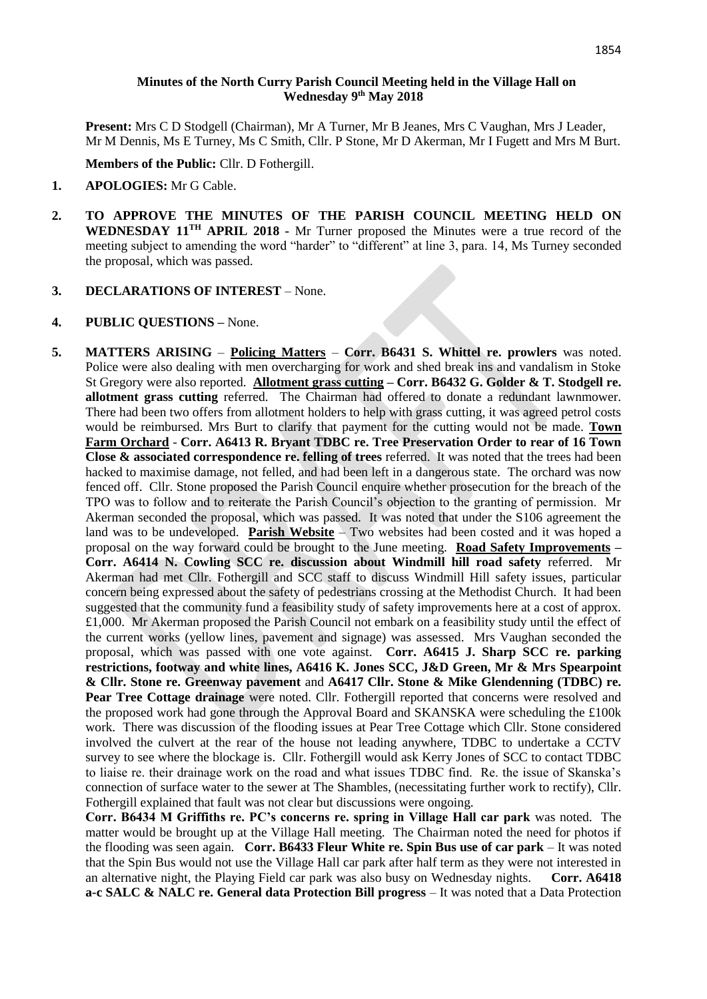### **Minutes of the North Curry Parish Council Meeting held in the Village Hall on Wednesday 9 th May 2018**

**Present:** Mrs C D Stodgell (Chairman), Mr A Turner, Mr B Jeanes, Mrs C Vaughan, Mrs J Leader, Mr M Dennis, Ms E Turney, Ms C Smith, Cllr. P Stone, Mr D Akerman, Mr I Fugett and Mrs M Burt.

**Members of the Public:** Cllr. D Fothergill.

- **1. APOLOGIES:** Mr G Cable.
- **2. TO APPROVE THE MINUTES OF THE PARISH COUNCIL MEETING HELD ON WEDNESDAY 11 TH APRIL 2018 -** Mr Turner proposed the Minutes were a true record of the meeting subject to amending the word "harder" to "different" at line 3, para. 14, Ms Turney seconded the proposal, which was passed.
- **3. DECLARATIONS OF INTEREST**  None.
- **4. PUBLIC QUESTIONS –** None.

**5. MATTERS ARISING** – **Policing Matters** – **Corr. B6431 S. Whittel re. prowlers** was noted. Police were also dealing with men overcharging for work and shed break ins and vandalism in Stoke St Gregory were also reported. **Allotment grass cutting – Corr. B6432 G. Golder & T. Stodgell re. allotment grass cutting** referred.The Chairman had offered to donate a redundant lawnmower. There had been two offers from allotment holders to help with grass cutting, it was agreed petrol costs would be reimbursed. Mrs Burt to clarify that payment for the cutting would not be made. **Town Farm Orchard** - **Corr. A6413 R. Bryant TDBC re. Tree Preservation Order to rear of 16 Town Close & associated correspondence re. felling of trees** referred. It was noted that the trees had been hacked to maximise damage, not felled, and had been left in a dangerous state. The orchard was now fenced off. Cllr. Stone proposed the Parish Council enquire whether prosecution for the breach of the TPO was to follow and to reiterate the Parish Council's objection to the granting of permission. Mr Akerman seconded the proposal, which was passed. It was noted that under the S106 agreement the land was to be undeveloped. **Parish Website** – Two websites had been costed and it was hoped a proposal on the way forward could be brought to the June meeting. **Road Safety Improvements – Corr. A6414 N. Cowling SCC re. discussion about Windmill hill road safety** referred. Mr Akerman had met Cllr. Fothergill and SCC staff to discuss Windmill Hill safety issues, particular concern being expressed about the safety of pedestrians crossing at the Methodist Church. It had been suggested that the community fund a feasibility study of safety improvements here at a cost of approx. £1,000. Mr Akerman proposed the Parish Council not embark on a feasibility study until the effect of the current works (yellow lines, pavement and signage) was assessed. Mrs Vaughan seconded the proposal, which was passed with one vote against. **Corr. A6415 J. Sharp SCC re. parking restrictions, footway and white lines, A6416 K. Jones SCC, J&D Green, Mr & Mrs Spearpoint & Cllr. Stone re. Greenway pavement** and **A6417 Cllr. Stone & Mike Glendenning (TDBC) re. Pear Tree Cottage drainage** were noted. Cllr. Fothergill reported that concerns were resolved and the proposed work had gone through the Approval Board and SKANSKA were scheduling the £100k work. There was discussion of the flooding issues at Pear Tree Cottage which Cllr. Stone considered involved the culvert at the rear of the house not leading anywhere, TDBC to undertake a CCTV survey to see where the blockage is. Cllr. Fothergill would ask Kerry Jones of SCC to contact TDBC to liaise re. their drainage work on the road and what issues TDBC find. Re. the issue of Skanska's connection of surface water to the sewer at The Shambles, (necessitating further work to rectify), Cllr. Fothergill explained that fault was not clear but discussions were ongoing.

**Corr. B6434 M Griffiths re. PC's concerns re. spring in Village Hall car park** was noted. The matter would be brought up at the Village Hall meeting. The Chairman noted the need for photos if the flooding was seen again. **Corr. B6433 Fleur White re. Spin Bus use of car park** – It was noted that the Spin Bus would not use the Village Hall car park after half term as they were not interested in an alternative night, the Playing Field car park was also busy on Wednesday nights. **Corr. A6418 a-c SALC & NALC re. General data Protection Bill progress** – It was noted that a Data Protection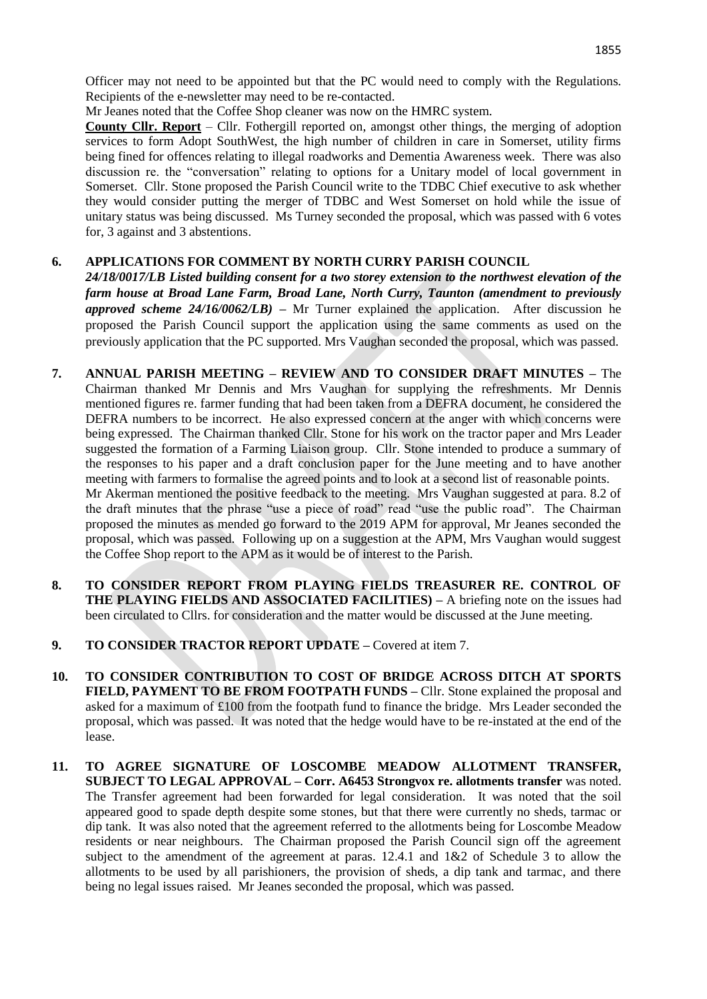Mr Jeanes noted that the Coffee Shop cleaner was now on the HMRC system.

**County Cllr. Report** – Cllr. Fothergill reported on, amongst other things, the merging of adoption services to form Adopt SouthWest, the high number of children in care in Somerset, utility firms being fined for offences relating to illegal roadworks and Dementia Awareness week. There was also discussion re. the "conversation" relating to options for a Unitary model of local government in Somerset. Cllr. Stone proposed the Parish Council write to the TDBC Chief executive to ask whether they would consider putting the merger of TDBC and West Somerset on hold while the issue of unitary status was being discussed. Ms Turney seconded the proposal, which was passed with 6 votes for, 3 against and 3 abstentions.

## **6. APPLICATIONS FOR COMMENT BY NORTH CURRY PARISH COUNCIL**

*24/18/0017/LB Listed building consent for a two storey extension to the northwest elevation of the farm house at Broad Lane Farm, Broad Lane, North Curry, Taunton (amendment to previously approved scheme 24/16/0062/LB) –* Mr Turner explained the application. After discussion he proposed the Parish Council support the application using the same comments as used on the previously application that the PC supported. Mrs Vaughan seconded the proposal, which was passed.

- **7. ANNUAL PARISH MEETING – REVIEW AND TO CONSIDER DRAFT MINUTES –** The Chairman thanked Mr Dennis and Mrs Vaughan for supplying the refreshments. Mr Dennis mentioned figures re. farmer funding that had been taken from a DEFRA document, he considered the DEFRA numbers to be incorrect. He also expressed concern at the anger with which concerns were being expressed. The Chairman thanked Cllr. Stone for his work on the tractor paper and Mrs Leader suggested the formation of a Farming Liaison group. Cllr. Stone intended to produce a summary of the responses to his paper and a draft conclusion paper for the June meeting and to have another meeting with farmers to formalise the agreed points and to look at a second list of reasonable points. Mr Akerman mentioned the positive feedback to the meeting. Mrs Vaughan suggested at para. 8.2 of the draft minutes that the phrase "use a piece of road" read "use the public road". The Chairman proposed the minutes as mended go forward to the 2019 APM for approval, Mr Jeanes seconded the proposal, which was passed. Following up on a suggestion at the APM, Mrs Vaughan would suggest the Coffee Shop report to the APM as it would be of interest to the Parish.
- **8. TO CONSIDER REPORT FROM PLAYING FIELDS TREASURER RE. CONTROL OF THE PLAYING FIELDS AND ASSOCIATED FACILITIES) –** A briefing note on the issues had been circulated to Cllrs. for consideration and the matter would be discussed at the June meeting.
- **9. TO CONSIDER TRACTOR REPORT UPDATE –** Covered at item 7.
- **10. TO CONSIDER CONTRIBUTION TO COST OF BRIDGE ACROSS DITCH AT SPORTS FIELD, PAYMENT TO BE FROM FOOTPATH FUNDS –** Cllr. Stone explained the proposal and asked for a maximum of £100 from the footpath fund to finance the bridge. Mrs Leader seconded the proposal, which was passed. It was noted that the hedge would have to be re-instated at the end of the lease.
- **11. TO AGREE SIGNATURE OF LOSCOMBE MEADOW ALLOTMENT TRANSFER, SUBJECT TO LEGAL APPROVAL – Corr. A6453 Strongvox re. allotments transfer** was noted. The Transfer agreement had been forwarded for legal consideration. It was noted that the soil appeared good to spade depth despite some stones, but that there were currently no sheds, tarmac or dip tank. It was also noted that the agreement referred to the allotments being for Loscombe Meadow residents or near neighbours. The Chairman proposed the Parish Council sign off the agreement subject to the amendment of the agreement at paras. 12.4.1 and 1&2 of Schedule 3 to allow the allotments to be used by all parishioners, the provision of sheds, a dip tank and tarmac, and there being no legal issues raised. Mr Jeanes seconded the proposal, which was passed.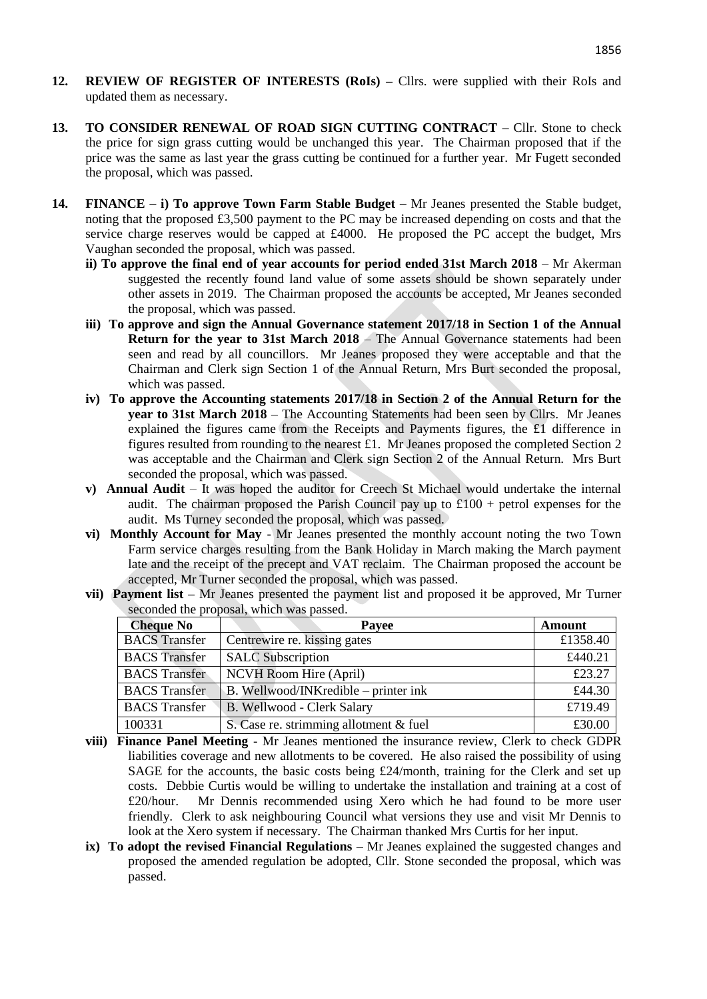- **12. REVIEW OF REGISTER OF INTERESTS (RoIs) –** Cllrs. were supplied with their RoIs and updated them as necessary.
- **13. TO CONSIDER RENEWAL OF ROAD SIGN CUTTING CONTRACT –** Cllr. Stone to check the price for sign grass cutting would be unchanged this year. The Chairman proposed that if the price was the same as last year the grass cutting be continued for a further year. Mr Fugett seconded the proposal, which was passed.
- **14. FINANCE – i) To approve Town Farm Stable Budget –** Mr Jeanes presented the Stable budget, noting that the proposed £3,500 payment to the PC may be increased depending on costs and that the service charge reserves would be capped at £4000. He proposed the PC accept the budget, Mrs Vaughan seconded the proposal, which was passed.
	- **ii) To approve the final end of year accounts for period ended 31st March 2018** Mr Akerman suggested the recently found land value of some assets should be shown separately under other assets in 2019. The Chairman proposed the accounts be accepted, Mr Jeanes seconded the proposal, which was passed.
	- **iii) To approve and sign the Annual Governance statement 2017/18 in Section 1 of the Annual Return for the year to 31st March 2018** – The Annual Governance statements had been seen and read by all councillors. Mr Jeanes proposed they were acceptable and that the Chairman and Clerk sign Section 1 of the Annual Return, Mrs Burt seconded the proposal, which was passed.
	- **iv) To approve the Accounting statements 2017/18 in Section 2 of the Annual Return for the year to 31st March 2018** – The Accounting Statements had been seen by Cllrs. Mr Jeanes explained the figures came from the Receipts and Payments figures, the £1 difference in figures resulted from rounding to the nearest £1. Mr Jeanes proposed the completed Section 2 was acceptable and the Chairman and Clerk sign Section 2 of the Annual Return. Mrs Burt seconded the proposal, which was passed.
	- **v) Annual Audit** It was hoped the auditor for Creech St Michael would undertake the internal audit. The chairman proposed the Parish Council pay up to  $\pounds 100$  + petrol expenses for the audit. Ms Turney seconded the proposal, which was passed.
	- **vi) Monthly Account for May** Mr Jeanes presented the monthly account noting the two Town Farm service charges resulting from the Bank Holiday in March making the March payment late and the receipt of the precept and VAT reclaim. The Chairman proposed the account be accepted, Mr Turner seconded the proposal, which was passed.
	- **vii) Payment list –** Mr Jeanes presented the payment list and proposed it be approved, Mr Turner seconded the proposal, which was passed.

| <b>Cheque No</b>     | Payee                                  | Amount   |
|----------------------|----------------------------------------|----------|
| <b>BACS</b> Transfer | Centrewire re. kissing gates           | £1358.40 |
| <b>BACS</b> Transfer | <b>SALC Subscription</b>               | £440.21  |
| <b>BACS</b> Transfer | NCVH Room Hire (April)                 | £23.27   |
| <b>BACS</b> Transfer | B. Wellwood/INKredible – printer ink   | £44.30   |
| <b>BACS</b> Transfer | B. Wellwood - Clerk Salary             | £719.49  |
| 100331               | S. Case re. strimming allotment & fuel | £30.00   |

- **viii) Finance Panel Meeting** Mr Jeanes mentioned the insurance review, Clerk to check GDPR liabilities coverage and new allotments to be covered. He also raised the possibility of using SAGE for the accounts, the basic costs being £24/month, training for the Clerk and set up costs. Debbie Curtis would be willing to undertake the installation and training at a cost of £20/hour. Mr Dennis recommended using Xero which he had found to be more user friendly. Clerk to ask neighbouring Council what versions they use and visit Mr Dennis to look at the Xero system if necessary. The Chairman thanked Mrs Curtis for her input.
- **ix) To adopt the revised Financial Regulations** Mr Jeanes explained the suggested changes and proposed the amended regulation be adopted, Cllr. Stone seconded the proposal, which was passed.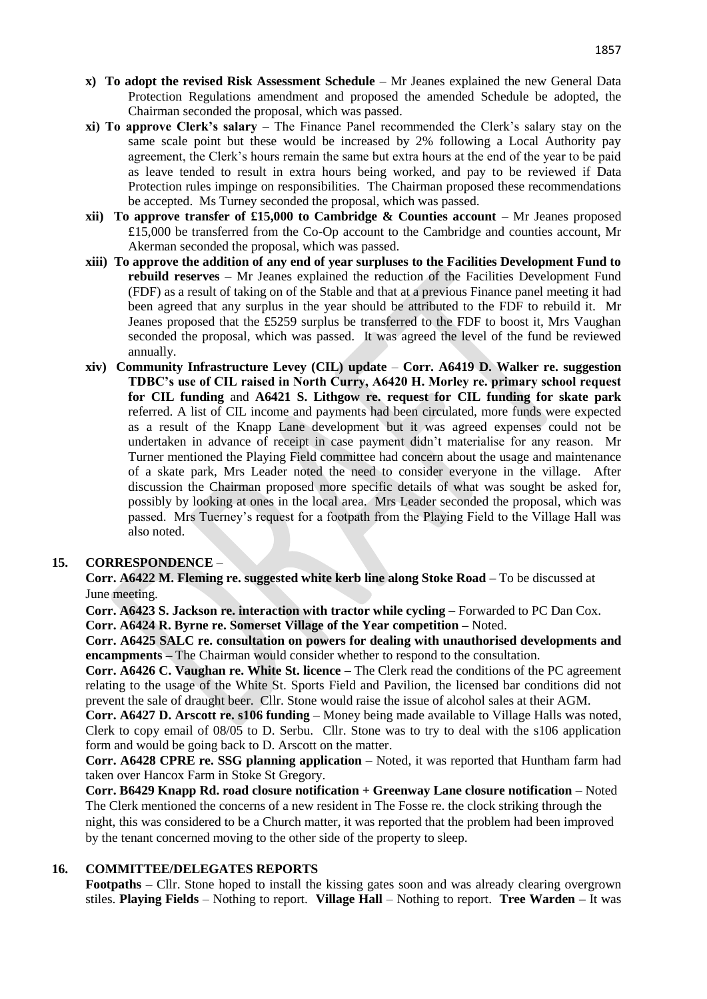- **x) To adopt the revised Risk Assessment Schedule** Mr Jeanes explained the new General Data Protection Regulations amendment and proposed the amended Schedule be adopted, the Chairman seconded the proposal, which was passed.
- **xi) To approve Clerk's salary** The Finance Panel recommended the Clerk's salary stay on the same scale point but these would be increased by 2% following a Local Authority pay agreement, the Clerk's hours remain the same but extra hours at the end of the year to be paid as leave tended to result in extra hours being worked, and pay to be reviewed if Data Protection rules impinge on responsibilities. The Chairman proposed these recommendations be accepted. Ms Turney seconded the proposal, which was passed.
- **xii) To approve transfer of £15,000 to Cambridge & Counties account** Mr Jeanes proposed £15,000 be transferred from the Co-Op account to the Cambridge and counties account, Mr Akerman seconded the proposal, which was passed.
- **xiii) To approve the addition of any end of year surpluses to the Facilities Development Fund to rebuild reserves** – Mr Jeanes explained the reduction of the Facilities Development Fund (FDF) as a result of taking on of the Stable and that at a previous Finance panel meeting it had been agreed that any surplus in the year should be attributed to the FDF to rebuild it. Mr Jeanes proposed that the £5259 surplus be transferred to the FDF to boost it, Mrs Vaughan seconded the proposal, which was passed. It was agreed the level of the fund be reviewed annually.
- **xiv) Community Infrastructure Levey (CIL) update Corr. A6419 D. Walker re. suggestion TDBC's use of CIL raised in North Curry, A6420 H. Morley re. primary school request for CIL funding** and **A6421 S. Lithgow re. request for CIL funding for skate park** referred. A list of CIL income and payments had been circulated, more funds were expected as a result of the Knapp Lane development but it was agreed expenses could not be undertaken in advance of receipt in case payment didn't materialise for any reason. Mr Turner mentioned the Playing Field committee had concern about the usage and maintenance of a skate park, Mrs Leader noted the need to consider everyone in the village. After discussion the Chairman proposed more specific details of what was sought be asked for, possibly by looking at ones in the local area. Mrs Leader seconded the proposal, which was passed. Mrs Tuerney's request for a footpath from the Playing Field to the Village Hall was also noted.

### **15. CORRESPONDENCE** –

**Corr. A6422 M. Fleming re. suggested white kerb line along Stoke Road –** To be discussed at June meeting.

**Corr. A6423 S. Jackson re. interaction with tractor while cycling –** Forwarded to PC Dan Cox. **Corr. A6424 R. Byrne re. Somerset Village of the Year competition –** Noted.

**Corr. A6425 SALC re. consultation on powers for dealing with unauthorised developments and encampments –** The Chairman would consider whether to respond to the consultation.

**Corr. A6426 C. Vaughan re. White St. licence –** The Clerk read the conditions of the PC agreement relating to the usage of the White St. Sports Field and Pavilion, the licensed bar conditions did not prevent the sale of draught beer. Cllr. Stone would raise the issue of alcohol sales at their AGM.

**Corr. A6427 D. Arscott re. s106 funding** – Money being made available to Village Halls was noted, Clerk to copy email of 08/05 to D. Serbu. Cllr. Stone was to try to deal with the s106 application form and would be going back to D. Arscott on the matter.

**Corr. A6428 CPRE re. SSG planning application** – Noted, it was reported that Huntham farm had taken over Hancox Farm in Stoke St Gregory.

**Corr. B6429 Knapp Rd. road closure notification + Greenway Lane closure notification** – Noted The Clerk mentioned the concerns of a new resident in The Fosse re. the clock striking through the night, this was considered to be a Church matter, it was reported that the problem had been improved by the tenant concerned moving to the other side of the property to sleep.

### **16. COMMITTEE/DELEGATES REPORTS**

**Footpaths** – Cllr. Stone hoped to install the kissing gates soon and was already clearing overgrown stiles. **Playing Fields** – Nothing to report. **Village Hall** – Nothing to report. **Tree Warden –** It was